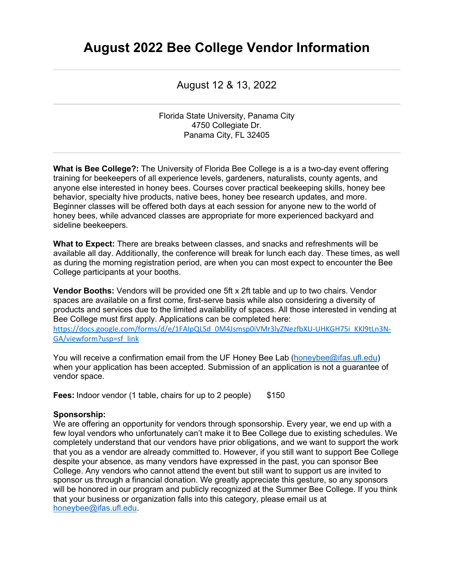## **August 2022 Bee College Vendor Information**

August 12 & 13, 2022

Florida State University, Panama City 4750 Collegiate Dr. Panama City, FL 32405

**What is Bee College?:** The University of Florida Bee College is a is a two-day event offering training for beekeepers of all experience levels, gardeners, naturalists, county agents, and anyone else interested in honey bees. Courses cover practical beekeeping skills, honey bee behavior, specialty hive products, native bees, honey bee research updates, and more. Beginner classes will be offered both days at each session for anyone new to the world of honey bees, while advanced classes are appropriate for more experienced backyard and sideline beekeepers.

**What to Expect:** There are breaks between classes, and snacks and refreshments will be available all day. Additionally, the conference will break for lunch each day. These times, as well as during the morning registration period, are when you can most expect to encounter the Bee College participants at your booths.

**Vendor Booths:** Vendors will be provided one 5ft x 2ft table and up to two chairs. Vendor spaces are available on a first come, first-serve basis while also considering a diversity of products and services due to the limited availability of spaces. All those interested in vending at Bee College must first apply. Applications can be completed here: https://docs.google.com/forms/d/e/1FAIpQLSd\_0M4Jsmsp0iVMr3lyZNezfbXU-UHKGH75i\_KKl9tLn3N-GA/viewform?usp=sf\_link

You will receive a confirmation email from the UF Honey Bee Lab (honeybee@ifas.ufl.edu) when your application has been accepted. Submission of an application is not a guarantee of vendor space.

**Fees:** Indoor vendor (1 table, chairs for up to 2 people) \$150

## **Sponsorship:**

We are offering an opportunity for vendors through sponsorship. Every year, we end up with a few loyal vendors who unfortunately can't make it to Bee College due to existing schedules. We completely understand that our vendors have prior obligations, and we want to support the work that you as a vendor are already committed to. However, if you still want to support Bee College despite your absence, as many vendors have expressed in the past, you can sponsor Bee College. Any vendors who cannot attend the event but still want to support us are invited to sponsor us through a financial donation. We greatly appreciate this gesture, so any sponsors will be honored in our program and publicly recognized at the Summer Bee College. If you think that your business or organization falls into this category, please email us at honeybee@ifas.ufl.edu.